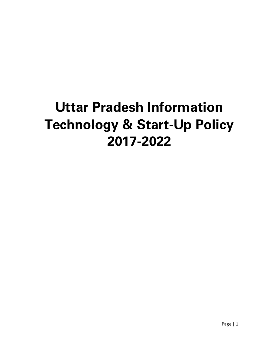# **Uttar Pradesh Information Technology & Start-Up Policy 2017-2022**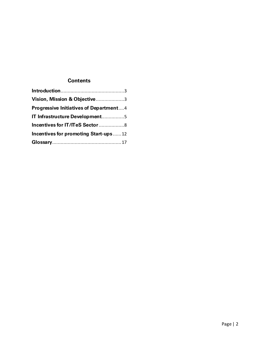# <span id="page-1-0"></span>**Contents**

| Vision, Mission & Objective3                  |  |
|-----------------------------------------------|--|
| <b>Progressive Initiatives of Department4</b> |  |
| IT Infrastructure Development5                |  |
| Incentives for IT/ITeS Sector 8               |  |
| Incentives for promoting Start-ups12          |  |
|                                               |  |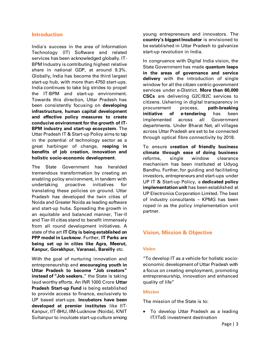# **Introduction**

India's success in the area of Information Technology (IT) Software and related services has been acknowledged globally. IT-BPM Industry is contributing highest relative share in national GDP, at around 9.3%. Globally, India has become the third largest start-up hub, with more than 4750 start-ups. India continues to take big strides to propel the IT-BPM and start-up environment. Towards this direction, Uttar Pradesh has been consistently focusing on **developing infrastructure, human capital development and effective policy measures to create conducive environment for the growth of IT-BPM industry and start-up ecosystem**. The Uttar Pradesh IT & Start-up Policy aims to tap in the potential of technology sector as a great harbinger of change, **reaping in benefits of job creation, innovation and holistic socio-economic development**.

The State Government has heralded tremendous transformation by creating an enabling policy environment, in tandem with undertaking proactive initiatives for translating these policies on ground. Uttar Pradesh has developed the twin cities of Noida and Greater Noida as leading software and start-up hubs. Spreading the growth in an equitable and balanced manner, Tier-II and Tier-III cities stand to benefit immensely from all round development initiatives. A state of the art **IT City is being established on PPP model in Lucknow**. Further, **IT Parks are being set up in cities like Agra, Meerut, Kanpur, Gorakhpur, Varanasi, Bareilly** etc.

With the goal of nurturing innovation and entrepreneurship and **encouraging youth in Uttar Pradesh to become "Job creators" instead of "Job seekers**," the State is taking laud worthy efforts. An INR 1000 Crore **Uttar Pradesh Start-up Fund** is being established to provide access to finance, exclusively to UP based start-ups. **Incubators have been developed at premier institutes** like IIT-Kanpur, IIT-BHU, IIM-Lucknow (Noida), KNIT Sultanpur to inculcate start-up culture among

young entrepreneurs and innovators. The **country's biggest Incubator** is envisioned to be established in Uttar Pradesh to galvanize start-up revolution in India.

In congruence with Digital India vision, the State Government has made **quantum leaps in the areas of governance and service delivery** with the introduction of single window for all the citizen centric government services under e-District. **More than 60,000 CSCs** are delivering G2C/B2C services to citizens. Ushering in digital transparency in procurement process, **path-breaking initiative of e-tendering** has been implemented across all Government departments. Under Bharat Net, all villages across Uttar Pradesh are set to be connected through optical fibre connectivity by 2018.

To ensure **creation of friendly business climate through ease of doing business** reforms, single window clearance mechanism has been instituted at Udyog Bandhu. Further, for guiding and facilitating investors, entrepreneurs and start-ups under UP IT & Start-up Policy, a **dedicated policy implementation unit** has been established at UP Electronics Corporation Limited. The best of industry consultants – KPMG has been roped in as the policy implementation unit partner.

# <span id="page-2-0"></span>**Vision, Mission & Objective**

#### **Vision**

"To develop IT as a vehicle for holistic socioeconomic development of Uttar Pradesh with a focus on creating employment, promoting entrepreneurship, innovation and enhanced quality of life"

#### **Mission**

The mission of the State is to:

 To develop Uttar Pradesh as a leading IT/ITeS investment destination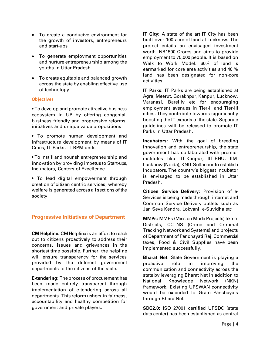- To create a conducive environment for the growth of investors, entrepreneurs and start-ups
- To generate employment opportunities and nurture entrepreneurship among the youths in Uttar Pradesh
- To create equitable and balanced growth across the state by enabling effective use of technology

#### **Objectives**

• To develop and promote attractive business ecosystem in UP by offering congenial, business friendly and progressive reforms, initiatives and unique value propositions

• To promote human development and infrastructure development by means of IT Cities, IT Parks, IT-BPM units

• To instill and nourish entrepreneurship and innovation by providing impetus to Start-ups, Incubators, Centers of Excellence

• To lead digital empowerment through creation of citizen centric services, whereby welfare is generated across all sections of the society

# <span id="page-3-0"></span>**Progressive Initiatives of Department**

**CM Helpline:** CM Helpline is an effort to reach out to citizens proactively to address their concerns, issues and grievances in the shortest time possible. Further, the helpline will ensure transparency for the services provided by the different government departments to the citizens of the state.

**E-tendering:** The process of procurement has been made entirely transparent through implementation of e-tendering across all departments. This reform ushers in fairness, accountability and healthy competition for government and private players.

**IT City:** A state of the art IT City has been built over 100 acre of land at Lucknow. The project entails an envisaged investment worth INR1500 Crores and aims to provide employment to 75,000 people. It is based on Walk to Work Model. 60% of land is earmarked for core area activities and 40 % land has been designated for non-core activities.

**IT Parks:** IT Parks are being established at Agra, Meerut, Gorakhpur, Kanpur, Lucknow, Varanasi, Bareilly etc for encouraging employment avenues in Tier-II and Tier-III cities. They contribute towards significantly boosting the IT exports of the state. Separate guidelines will be released to promote IT Parks in Uttar Pradesh.

**Incubators:** With the goal of breeding innovation and entrepreneurship, the state government has collaborated with premier institutes like IIT-Kanpur, IIT-BHU, IIM-Lucknow (Noida), KNIT Sultanpur to establish Incubators. The country's biggest Incubator is envisaged to be established in Uttar Pradesh.

**Citizen Service Delivery:** Provision of e-Services is being made through internet and Common Service Delivery outlets such as Jan Seva Kendra, Lokvani, e-Suvidha etc

**MMPs:** MMPs (Mission Mode Projects) like e-Districts, CCTNS (Crime and Criminal Tracking Network and Systems) and projects of Department of Panchayati Raj, Commercial taxes, Food & Civil Supplies have been implemented successfully.

**Bharat Net:** State Government is playing a proactive role in improving the communication and connectivity across the state by leveraging Bharat Net in addition to National Knowledge Network (NKN) framework. Existing UPSWAN connectivity would be extended to Gram Panchayats through BharatNet.

**SDC2.0:** ISO 27001 certified UPSDC (state data center) has been established as central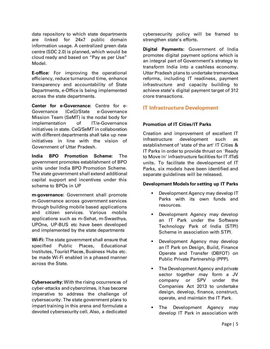data repository to which state departments are linked for 24x7 public domain information usage. A centralized green data centre (SDC 2.0) is planned, which would be cloud ready and based on "Pay as per Use" Model.

**E-office:** For improving the operational efficiency, reduce turnaround time, enhance transparency and accountability of State Departments, e-Office is being implemented across the state departments.

**Center for e-Governance:** Centre for e-Governance (CeG)/State e-Governance Mission Team (SeMT) is the nodal body for implementation of IT/e-Governance initiatives in state. CeG/SeMT in collaboration with different departments shall take up new initiatives in line with the vision of Government of Uttar Pradesh.

**India BPO Promotion Scheme:** The government promotes establishment of BPO units under India BPO Promotion Scheme. The state government shall extend additional capital support and incentives under this scheme to BPOs in UP

**m-governance:** Government shall promote m-Governance across government services through building mobile based applications and citizen services. Various mobile applications such as m-Sehat, m-Swasthya, UPOne, UP-BUS etc have been developed and implemented by the state departments

**Wi-Fi:** The state government shall ensure that specified Public Places, Educational Institutes, Tourist Places, Business Hubs etc. be made Wi-Fi enabled in a phased manner across the State.

**Cybersecurity:** With the rising occurrences of cyber-attacks and cybercrimes, it has become imperative to address the challenge of cybersecurity. The state government plans to impart training in this arena and formulate a devoted cybersecurity cell. Also, a dedicated

cybersecurity policy will be framed to strengthen state's efforts.

**Digital Payments:** Government of India promotes digital payment options which is an integral part of Government's strategy to transform India into a cashless economy. Uttar Pradesh plans to undertake tremendous reforms, including IT readiness, payment infrastructure and capacity building to achieve state's digital payment target of 312 crore transactions.

# <span id="page-4-0"></span>**IT Infrastructure Development**

# **Promotion of IT Cities/IT Parks**

Creation and improvement of excellent IT infrastructure development such as establishment of 'state of the art' IT Cities & IT Parks in order to provide thrust on 'Ready to Move in' infrastructure facilities for IT /ITeS units. To facilitate the development of IT Parks, six models have been identified and separate guidelines will be released.

# **Development Models for setting up IT Parks**

- Development Agency may develop IT Parks with its own funds and resources.
- Development Agency may develop an IT Park under the Software Technology Park of India (STPI) Scheme in association with STPI.
- Development Agency may develop an IT Park on Design, Build, Finance Operate and Transfer (DBFOT) on Public Private Partnership (PPP).
- The Development Agency and private sector together may form a JV company or SPV under the Companies Act 2013 to undertake design, develop, finance, construct, operate, and maintain the IT Park.
- The Development Agency may develop IT Park in association with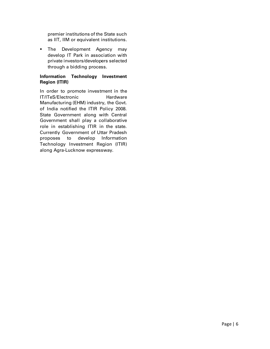premier institutions of the State such as IIT, IIM or equivalent institutions.

**The Development Agency may** develop IT Park in association with private investors/developers selected through a bidding process.

# **Information Technology Investment Region (ITIR)**

In order to promote investment in the IT/ITeS/Electronic Hardware Manufacturing (EHM) industry, the Govt. of India notified the ITIR Policy 2008. State Government along with Central Government shall play a collaborative role in establishing ITIR in the state. Currently Government of Uttar Pradesh proposes to develop Information Technology Investment Region (ITIR) along Agra-Lucknow expressway.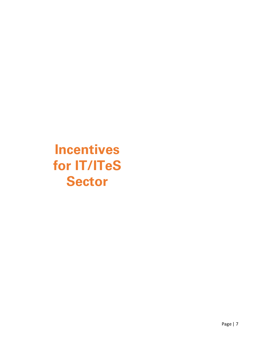**Incentives for IT/ITeS Sector**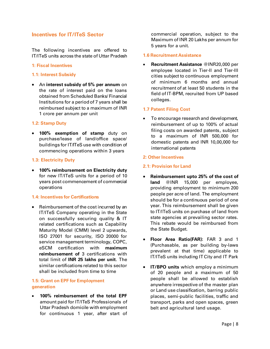# <span id="page-7-0"></span>**Incentives for IT/ITeS Sector**

The following incentives are offered to IT/ITeS units across the state of Uttar Pradesh

#### **1: Fiscal Incentives**

#### **1.1: Interest Subsidy**

 An **interest subsidy of 5% per annum** on the rate of interest paid on the loans obtained from Scheduled Banks/ Financial Institutions for a period of 7 years shall be reimbursed subject to a maximum of INR 1 crore per annum per unit

#### **1.2: Stamp Duty**

 **100% exemption of stamp** duty on purchase/lease of land/office space/ buildings for IT/ITeS use with condition of commencing operations within 3 years

#### **1.3: Electricity Duty**

 **100% reimbursement on Electricity duty** for new IT/ITeS units for a period of 10 years post commencement of commercial operations

#### **1.4: Incentives for Certifications**

 Reimbursement of the cost incurred by an IT/ITeS Company operating in the State on successfully securing quality & IT related certifications such as Capability Maturity Model (CMM) level 2 upwards, ISO 27001 for security, ISO 20000 for service management terminology, COPC, eSCM certification with **maximum reimbursement of** 3 certifications with total limit of **INR 25 lakhs per unit**. The similar certifications related to this sector shall be included from time to time

# **1.5: Grant on EPF for Employment generation**

 **100% reimbursement of the total EPF** amount paid for IT/ITeS Professionals of Uttar Pradesh domicile with employment for continuous 1 year, after start of

commercial operation, subject to the Maximum of INR 20 Lakhs per annum for 5 years for a unit.

#### **1.6 Recruitment Assistance**

 **Recruitment Assistance** @INR20,000 per employee located in Tier-II and Tier-III cities subject to continuous employment of minimum 6 months and annual recruitment of at least 50 students in the field of IT-BPM, recruited from UP based colleges.

#### **1.7 Patent Filing Cost**

• To encourage research and development, reimbursement of up to 100% of actual filing costs on awarded patents, subject to a maximum of INR 500,000 for domestic patents and INR 10,00,000 for international patents

#### **2: Other Incentives**

#### **2.1: Provision for Land**

- **Reimbursement upto 25% of the cost of land** @INR 15,000 per employee, providing employment to minimum 200 people per acre of land. The employment should be for a continuous period of one year. This reimbursement shall be given to IT/ITeS units on purchase of land from state agencies at prevailing sector rates. This rebate would be reimbursed from the State Budget.
- **Floor Area Ratio(FAR):** FAR 3 and 1 (Purchasable, as per building by-laws prevalent at that time) applicable to IT/ITeS units including IT City and IT Park
- **IT/BPO units** which employ a minimum of 20 people and a maximum of 50 people shall be allowed to establish anywhere irrespective of the master plan or Land use classification, barring public places, semi-public facilities, traffic and transport, parks and open spaces, green belt and agricultural land usage.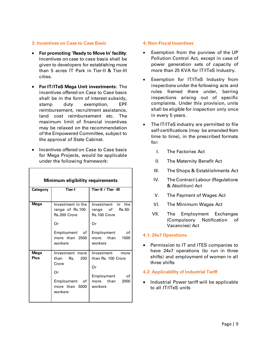#### **3: Incentives on Case to Case Basis**

- **For promoting 'Ready to Move In' facility**: Incentives on case to case basis shall be given to developers for establishing more than 5 acres IT Park in Tier-II & Tier-III cities.
- **For IT/ITeS Mega Unit investments**: The incentives offered on Case to Case basis shall be in the form of interest subsidy, stamp duty exemption, EPF reimbursement, recruitment assistance, land cost reimbursement etc. The maximum limit of financial incentives may be relaxed on the recommendation of the Empowered Committee, subject to the approval of State Cabinet.
- Incentives offered on Case to Case basis for Mega Projects, would be applicable under the following framework:

| Minimum eligibility requirements |                                                                                                           |                                                                                                                |
|----------------------------------|-----------------------------------------------------------------------------------------------------------|----------------------------------------------------------------------------------------------------------------|
| Category                         | <b>Tier-I</b>                                                                                             | Tier-II / Tier -III                                                                                            |
| Mega                             | Investment in the<br>range of Rs.100-<br>Rs.200 Crore<br>Or<br>Employment of<br>more than 2500<br>workers | Investment in the<br>range of Rs.50-<br>Rs.100 Crore<br>Or<br>Employment<br>οf<br>more than<br>1000<br>workers |
| Mega<br>Plus                     | Investment more<br>than Rs.<br>200<br>Crore<br>Or<br>Employment<br>оf<br>more than 5000<br>workers        | Investment<br>more<br>than Rs. 100 Crore<br>Or<br>οf<br>Employment<br>more than<br>2000<br>workers             |

#### **4: Non-Fiscal Incentives**

- Exemption from the purview of the UP Pollution Control Act, except in case of power generation sets of capacity of more than 25 KVA for IT/ITeS Industry.
- Exemption for IT/ITeS Industry from inspections under the following acts and rules framed there under, barring inspections arising out of specific complaints. Under this provision, units shall be eligible for inspection only once in every 5 years.
- The IT/ITeS industry are permitted to file self-certifications (may be amended from time to time), in the prescribed formats for:
	- I. The Factories Act
	- II. The Maternity Benefit Act
	- III. The Shops & Establishments Act
	- IV. The Contract Labour (Regulations & Abolition) Act
	- V. The Payment of Wages Act
	- VI. The Minimum Wages Act
	- VII. The Employment Exchanges (Compulsory Notification of Vacancies) Act

#### **4.1: 24x7 Operations**

**•** Permission to IT and ITES companies to have 24x7 operations (to run in three shifts) and employment of women in all three shifts

#### **4.2: Applicability of Industrial Tariff**

• Industrial Power tariff will be applicable to all IT/ITeS units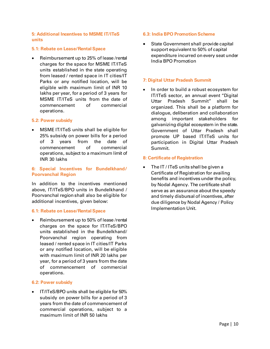#### **5: Additional Incentives to MSME IT/ITeS units**

#### **5.1: Rebate on Lease/Rental Space**

 Reimbursement up to 25% of lease /rental charges for the space for MSME IT/ITeS units established in the state operating from leased / rented space in IT cities/IT Parks or any notified location, will be eligible with maximum limit of INR 10 lakhs per year, for a period of 3 years for MSME IT/ITeS units from the date of commencement of commercial operations.

#### **5.2: Power subsidy**

 MSME IT/ITeS units shall be eligible for 25% subsidy on power bills for a period of 3 years from the date of commencement of commercial operations, subject to a maximum limit of INR 30 lakhs

#### **6: Special Incentives for Bundelkhand/ Poorvanchal Region**

In addition to the incentives mentioned above, IT/ITeS/BPO units in Bundelkhand / Poorvanchal region shall also be eligible for additional incentives, given below:

#### **6.1: Rebate on Lease/Rental Space**

 Reimbursement up to 50% of lease /rental charges on the space for IT/ITeS/BPO units established in the Bundelkhand/ Poorvanchal region operating from leased / rented space in IT cities/IT Parks or any notified location, will be eligible with maximum limit of INR 20 lakhs per year, for a period of 3 years from the date of commencement of commercial operations.

#### **6.2: Power subsidy**

 IT/ITeS/BPO units shall be eligible for 50% subsidy on power bills for a period of 3 years from the date of commencement of commercial operations, subject to a maximum limit of INR 50 lakhs

#### **6.3: India BPO Promotion Scheme**

 State Government shall provide capital support equivalent to 50% of capital expenditure incurred on every seat under India BPO Promotion

#### **7: Digital Uttar Pradesh Summit**

 In order to build a robust ecosystem for IT/ITeS sector, an annual event "Digital Uttar Pradesh Summit" shall be organized. This shall be a platform for dialogue, deliberation and collaboration among important stakeholders for galvanizing digital ecosystem in the state. Government of Uttar Pradesh shall promote UP based IT/ITeS units for participation in Digital Uttar Pradesh Summit.

#### **8: Certificate of Registration**

• The IT / ITeS units shall be given a Certificate of Registration for availing benefits and incentives under the policy, by Nodal Agency. The certificate shall serve as an assurance about the speedy and timely disbursal of incentives, after due diligence by Nodal Agency / Policy Implementation Unit.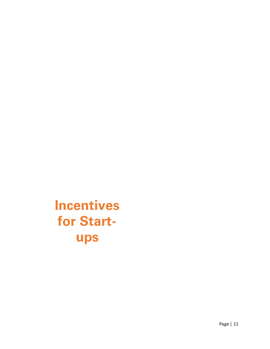**Incentives for Startups**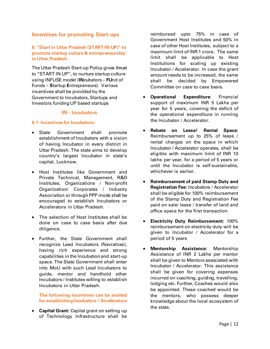# <span id="page-11-0"></span>**Incentives for promoting Start-ups**

# **8: "Start in Uttar Pradesh (START-IN-UP)" to promote startup culture & entrepreneurship in Uttar Pradesh**

The Uttar Pradesh Start-up Policy gives thrust to "START IN UP", to nurture startup culture using INFUSE model (**IN**cubators – **FU**nd of Funds – **S**tartup **E**ntrepreneurs). Various incentives shall be provided by the Government to Incubators, Startups and Investors funding UP based startups

# **IN - Incubators**

#### **8.1: Incentives for Incubators:**

- State Government shall promote establishment of Incubators with a vision of having Incubator in every district in Uttar Pradesh. The state aims to develop country's largest Incubator in state's capital, Lucknow.
- Host Institutes like Government and Private Technical, Management, R&D Institutes, Organizations / Non-profit Organization/ Corporates / Industry Association or through PPP mode shall be encouraged to establish Incubators or Accelerators in Uttar Pradesh.
- The selection of Host Institutes shall be done on case to case basis after due diligence.
- Further, the State Government shall recognize Lead Incubators (Navratnas), having rich experience and strong capabilities in the Incubation and start-up space. The State Government shall enter into MoU with such Lead Incubators to guide, mentor and handhold other Incubators / Institutes willing to establish Incubators in Uttar Pradesh.

**The following incentives can be availed for establishing Incubators / Accelerators**

 **Capital Grant:** Capital grant on setting up of Technology Infrastructure shall be

reimbursed upto 75% in case of Government Host Institutes and 50% in case of other Host Institutes, subject to a maximum limit of INR 1 crore. The same limit shall be applicable to Host Institutions for scaling up existing Incubator / Accelerator. In case the grant amount needs to be increased, the same shall be decided by Empowered Committee on case to case basis.

- **Operational Expenditure:** Financial support of maximum INR 5 Lakhs per year for 5 years, covering the deficit of the operational expenditure in running the Incubator / Accelerator.
- **Rebate on Lease/ Rental Space:** Reimbursement up to 25% of lease / rental charges on the space in which Incubator / Accelerator operates, shall be eligible with maximum limit of INR 10 lakhs per year, for a period of 5 years or until the Incubator is self-sustainable, whichever is earlier.
- **Reimbursement of paid Stamp Duty and Registration Fee:** Incubators / Accelerator shall be eligible for 100% reimbursement of the Stamp Duty and Registration Fee paid on sale/ lease / transfer of land and office space for the first transaction
- **Electricity Duty Reimbursement:** 100% reimbursement on electricity duty will be given to Incubator / Accelerator for a period of 5 years
- **Mentorship Assistance:** Mentorship Assistance of INR 2 Lakhs per mentor shall be given to Mentors associated with Incubator / Accelerator. This assistance shall be given for covering expenses incurred on coaching, guiding, travelling, lodging etc. Further, Coaches would also be appointed. These coached would be the mentors, who possess deeper knowledge about the local ecosystem of the state.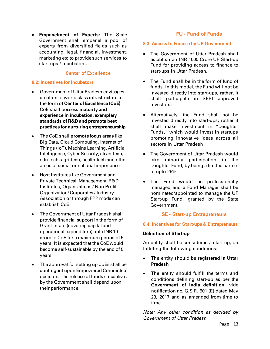**Empanelment of Experts:** The State Government shall empanel a pool of experts from diversified fields such as accounting, legal, financial, investment, marketing etc to provide such services to start-ups / Incubators.

#### **Center of Excellence**

#### **8.2: Incentives for Incubators:**

- Government of Uttar Pradesh envisages creation of world class infrastructure in the form of **Center of Excellence (CoE)**. CoE shall possess **maturity and experience in incubation, exemplary standards of R&D and promote best practices for nurturing entrepreneurship**
- The CoE shall **promote focus areas** like Big Data, Cloud Computing, Internet of Things (IoT), Machine Learning, Artificial Intelligence, Cyber Security, clean-tech, edu-tech, agri-tech, health-tech and other areas of social or national importance
- Host Institutes like Government and Private Technical, Management, R&D Institutes, Organizations / Non-Profit Organization/ Corporates / Industry Association or through PPP mode can establish CoE
- The Government of Uttar Pradesh shall provide financial support in the form of Grant-in-aid (covering capital and operational expenditure) upto INR 10 crore to CoE for a maximum period of 5 years. It is expected that the CoE would become self-sustainable by the end of 5 years
- The approval for setting up CoEs shall be contingent upon Empowered Committee' decision. The release of funds / incentives by the Government shall depend upon their performance.

# **FU - Fund of Funds**

#### **8.3: Access to Finance by UP Government**

- The Government of Uttar Pradesh shall establish an INR 1000 Crore UP Start-up Fund for providing access to finance to start-ups in Uttar Pradesh.
- The Fund shall be in the form of fund of funds. In this model, the Fund will not be invested directly into start-ups, rather, it shall participate in SEBI approved investors.
- Alternatively, the Fund shall not be invested directly into start-ups, rather it shall make investment in "Daughter Funds," which would invest in startups promoting innovative ideas across all sectors in Uttar Pradesh
- The Government of Uttar Pradesh would take minority participation in the Daughter Fund, by being a limited partner of upto 25%
- The Fund would be professionally managed and a Fund Manager shall be nominated/appointed to manage the UP Start-up Fund, granted by the State Government.

#### **SE - Start-up Entrepreneurs**

#### **8.4: Incentives for Start-ups & Entrepreneurs**

#### **Definition of Start-up**

An entity shall be considered a start-up, on fulfilling the following conditions:

- The entity should be **registered in Uttar Pradesh**
- The entity should fulfill the terms and conditions defining start-up as per the **Government of India definition**, vide notification no. G.S.R. 501 (E) dated May 23, 2017 and as amended from time to time

*Note: Any other condition as decided by Government of Uttar Pradesh*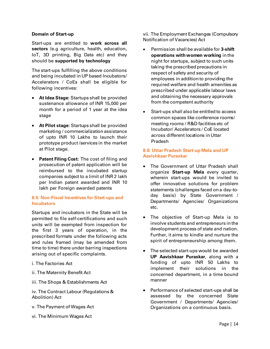#### **Domain of Start-up**

Start-ups are entitled to **work across all sectors** (e.g agriculture, health, education, IoT, 3D printing, Big Data etc) and they should be **supported by technology**

The start-ups fulfilling the above conditions and being incubated in UP based Incubators/ Accelerators / CoEs shall be eligible for following incentives:

- **At Idea Stage:** Startups shall be provided sustenance allowance of INR 15,000 per month for a period of 1 year at the idea stage
- **At Pilot stage:** Startups shall be provided marketing / commercialization assistance of upto INR 10 Lakhs to launch their prototype product /services in the market at Pilot stage.
- **Patent Filing Cost:** The cost of filing and prosecution of patent application will be reimbursed to the incubated startup companies subject to a limit of INR 2 lakh per Indian patent awarded and INR 10 lakh per Foreign awarded patents

#### **8.5: Non-Fiscal Incentives for Start-ups and Incubators**

Startups and incubators in the State will be permitted to file self-certifications and such units will be exempted from inspection for the first 3 years of operation, in the prescribed formats under the following acts and rules framed (may be amended from time to time) there under barring inspections arising out of specific complaints.

- i. The Factories Act
- ii. The Maternity Benefit Act
- iii. The Shops & Establishments Act

iv. The Contract Labour (Regulations & Abolition) Act

- v. The Payment of Wages Act
- vi. The Minimum Wages Act

vii. The Employment Exchanges (Compulsory Notification of Vacancies) Act

- Permission shall be available for **3-shift operations with women working** in the night for startups, subject to such units taking the prescribed precautions in respect of safety and security of employees in addition to providing the required welfare and health amenities as prescribed under applicable labour laws and obtaining the necessary approvals from the competent authority
- Start-ups shall also be entitled to access common spaces like conference rooms/ meeting rooms / R&D facilities etc of Incubator/ Accelerators / CoE located across different locations in Uttar Pradesh

# **8.6: Uttar Pradesh Start-up Mela and UP Aavishkaar Puraskar**

- The Government of Uttar Pradesh shall organize **Start-up Mela** every quarter, wherein start-ups would be invited to offer innovative solutions for problem statements (challenges faced on a day-today basis) by State Government / Departments/ Agencies/ Organizations etc.
- The objective of Start-up Mela is to involve students and entrepreneurs in the development process of state and nation. Further, it aims to kindle and nurture the spirit of entrepreneurship among them**.**
- The selected start-ups would be awarded **UP Aavishkaar Puraskar**, along with a funding of upto INR 50 Lakhs to implement their solutions in the concerned department, in a time bound manner
- Performance of selected start-ups shall be assessed by the concerned State Government / Departments/ Agencies/ Organizations on a continuous basis.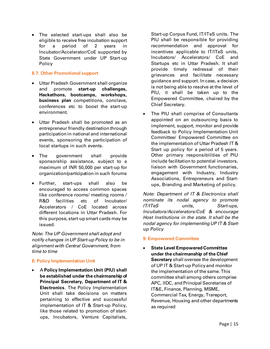• The selected start-ups shall also be eligible to receive free incubation support for a period of 2 years in Incubator/Accelerator/CoE supported by State Government under UP Start-up Policy

# **8.7: Other Promotional support**

- Uttar Pradesh Government shall organize and promote **start-up challenges, Hackathons, bootcamps, workshops, business plan** competitions, conclave, conferences etc to boost the start-up environment.
- Uttar Pradesh shall be promoted as an entrepreneur friendly destination through participation in national and international events, sponsoring the participation of local startups in such events.
- The government shall provide sponsorship assistance, subject to a maximum of INR 50,000 per start-up for organization/participation in such forums
- Further, start-ups shall also be encouraged to access common spaces like conference rooms/ meeting rooms / R&D facilities etc of Incubator/ Accelerators / CoE located across different locations in Uttar Pradesh. For this purpose, start-up smart cards may be issued.

*Note: The UP Government shall adopt and notify changes in UP Start-up Policy to be in alignment with Central Government, from time to time*

# **8: Policy Implementation Unit**

 A **Policy Implementation Unit (PIU) shall be established under the chairmanship of Principal Secretary, Department of IT & Electronics**. The Policy Implementation Unit shall take decisions on matters pertaining to effective and successful implementation of IT & Start-up Policy, like those related to promotion of startups, Incubators, Venture Capitalists,

Start-up Corpus Fund, IT/ITeS units. The PIU shall be responsible for providing recommendation and approval for incentives applicable to IT/ITeS units, Incubators/ Accelerators/ CoE and Startups etc in Uttar Pradesh. It shall provide timely redressal of their grievances and facilitate necessary guidance and support. In case, a decision is not being able to resolve at the level of PIU, it shall be taken up to the Empowered Committee, chaired by the Chief Secretary.

• The PIU shall comprise of Consultants appointed on an outsourcing basis to implement, support, monitor and provide feedback to Policy Implementation Unit Committee/ Empowered Committee on the implementation of Uttar Pradesh IT & Start up policy for a period of 5 years. Other primary responsibilities of PIU include facilitation to potential investors, liaison with Government functionaries, engagement with Industry, Industry Associations, Entrepreneurs and Startups, Branding and Marketing of policy.

*Note: Department of IT & Electronics shall nominate its nodal agency to promote IT/ITeS units, Start-ups, Incubators/Accelerators/CoE & encourage Host Institutions in the state. It shall be the nodal agency for implementing UP IT & Startup Policy*

#### **9: Empowered Committee**

 **State Level Empowered Committee under the chairmanship of the Chief Secretary** shall oversee the development of UP IT & Start-up Policy and monitor the implementation of the same. This committee shall among others comprise APC, IIDC, and Principal Secretaries of IT&E, Finance, Planning, MSME, Commercial Tax, Energy, Transport, Revenue, Housing and other departments as required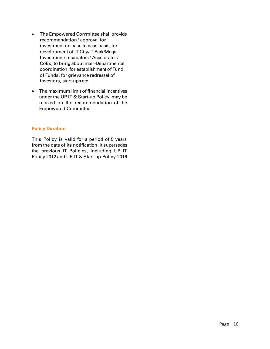- The Empowered Committee shall provide recommendation / approval for investment on case to case basis, for development of IT City/IT Park/Mega Investment/ Incubators / Accelerator / CoEs, to bring about inter-Departmental coordination, for establishment of Fund of Funds, for grievance redressal of investors, start-ups etc.
- The maximum limit of financial incentives under the UP IT & Start-up Policy, may be relaxed on the recommendation of the Empowered Committee

# **Policy Duration**

This Policy is valid for a period of 5 years from the date of its notification. It supersedes the previous IT Policies, including UP IT Policy 2012 and UP IT & Start-up Policy 2016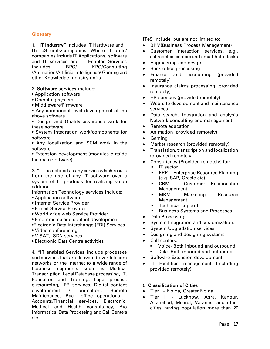## <span id="page-16-0"></span>**Glossary**

1. **"IT Industry"** includes IT Hardware and IT/ITeS units/companies. Where IT units/ companies include IT Applications, software and IT services and IT Enabled Services includes BPO/ KPO/Consulting /Animation/Artificial Intelligence/ Gaming and other Knowledge Industry units.

#### 2. **Software services** include:

- Application software
- Operating system
- Middleware/Firmware
- Any component level development of the above software.
- Design and Quality assurance work for these software.
- System integration work/components for software.

• Any localization and SCM work in the software.

• Extension development (modules outside the main software).

3. "IT" is defined as any service which results from the use of any IT software over a system of IT products for realizing value addition.

Information Technology services include:

- Application software
- Internet Service Provider
- E-mail Service Provider
- World wide web Service Provider
- E-commerce and content development
- •Electronic Data Interchange (EDI) Services
- Video conferencing
- V-SAT, ISDN services
- Electronic Data Centre activities

4. "**IT enabled Services** include processes and services that are delivered over telecom networks or the internet to a wide range of business segments such as Medical Transcription, Legal Database processing, IT, Education and Training, Legal process outsourcing, IPR services, Digital content development / animation, Remote Maintenance, Back office operations – Accounts/Financial services, Electronic, Medical and Health consultancy, Bio informatics, Data Processing and Call Centers etc.

ITeS include, but are not limited to:

- BPM(Business Process Management)
- Customer interaction services, e.g., call/contact centers and email help desks
- Engineering and design
- Back office processing
- Finance and accounting (provided remotely)
- Insurance claims processing (provided remotely)
- HR services (provided remotely)
- Web site development and maintenance services
- Data search, integration and analysis Network consulting and management
- Remote education
- Animation (provided remotely)
- Gaming
- Market research (provided remotely)
- Translation, transcription and localization (provided remotely)
- Consultancy (Provided remotely) for:
	- **IT** sector
	- **ERP** Enterprise Resource Planning (e.g. SAP, Oracle etc)
	- CRM Customer Relationship Management
	- **MRM-** Marketing Resource Management
	- **Technical support**
	- Business Systems and Processes
- Data Processing
- System Integration and customization.
- System Upgradation services
- Designing and designing systems
- Call centers:
	- Voice- Both inbound and outbound
	- Data- Both inbound and outbound
- Software Extension development
- IT Facilities management (including provided remotely)

#### 5. **Classification of Cities**

- Tier I Noida, Greater Noida
- Tier II Lucknow, Agra, Kanpur, Allahabad, Meerut, Varanasi and other cities having population more than 20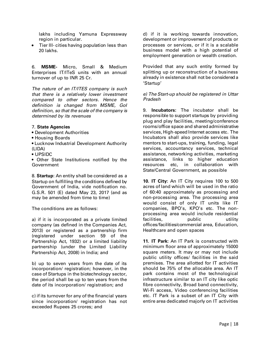lakhs including Yamuna Expressway region in particular.

 Tier III- cities having population less than 20 lakhs.

6. **MSME-** Micro, Small & Medium Enterprises IT/ITeS units with an annual turnover of up to INR 25 Cr.

*The nature of an IT/ITES company is such that there is a relatively lower investment compared to other sectors. Hence the definition is changed from MSME, GoI definition, so that the scale of the company is determined by its revenues*

#### 7. **State Agencies**

- Development Authorities
- Housing Boards
- Lucknow Industrial Development Authority (LIDA)
- UPSIDC

• Other State Institutions notified by the Government

8. **Startup**: An entity shall be considered as a Startup on fulfilling the conditions defined by Government of India, vide notification no. G.S.R. 501 (E) dated May 23, 2017 (and as may be amended from time to time)

The conditions are as follows:

a) if it is incorporated as a private limited company (as defined in the Companies Act, 2013) or registered as a partnership firm (registered under section 59 of the Partnership Act, 1932) or a limited liability partnership (under the Limited Liability Partnership Act, 2008) in India; and

b) up to seven years from the date of its incorporation/ registration; however, in the case of Startups in the biotechnology sector, the period shall be up to ten years from the date of its incorporation/ registration; and

c) if its turnover for any of the financial years since incorporation/ registration has not exceeded Rupees 25 crores; and

d) if it is working towards innovation, development or improvement of products or processes or services, or if it is a scalable business model with a high potential of employment generation or wealth creation.

Provided that any such entity formed by splitting up or reconstruction of a business already in existence shall not be considered a 'Startup'

#### *e) The Start-up should be registered in Uttar Pradesh*

9. **Incubators:** The incubator shall be responsible to support startups by providing plug and play facilities, meeting/conference rooms/office space and shared administrative services, High-speed Internet access etc. The Incubators shall also provide services like mentors to start-ups, training, funding, legal services, accountancy services, technical assistance, networking activities, marketing assistance, links to higher education resources etc, in collaboration with State/Central Government, as possible

**10. IT City:** An IT City requires 100 to 500 acres of land which will be used in the ratio of 60:40 approximately as processing and non-processing area. The processing area would consist of only IT units like IT companies, BPO's, KPO's etc. The nonprocessing area would include residential facilities, public utility offices/facilities/commercial area, Education, Healthcare and open spaces

**11. IT Park:** An IT Park is constructed with minimum floor area of approximately 15000 square meters. It may or may not include public utility offices/ facilities in the said premises. The area allotted for IT activities should be 75% of the allocable area. An IT park contains most of the technological infrastructure similar to an IT city like optic fibre connectivity, Broad band connectivity, Wi-Fi access, Video conferencing facilities etc. IT Park is a subset of an IT City with entire area dedicated majorly on IT activities